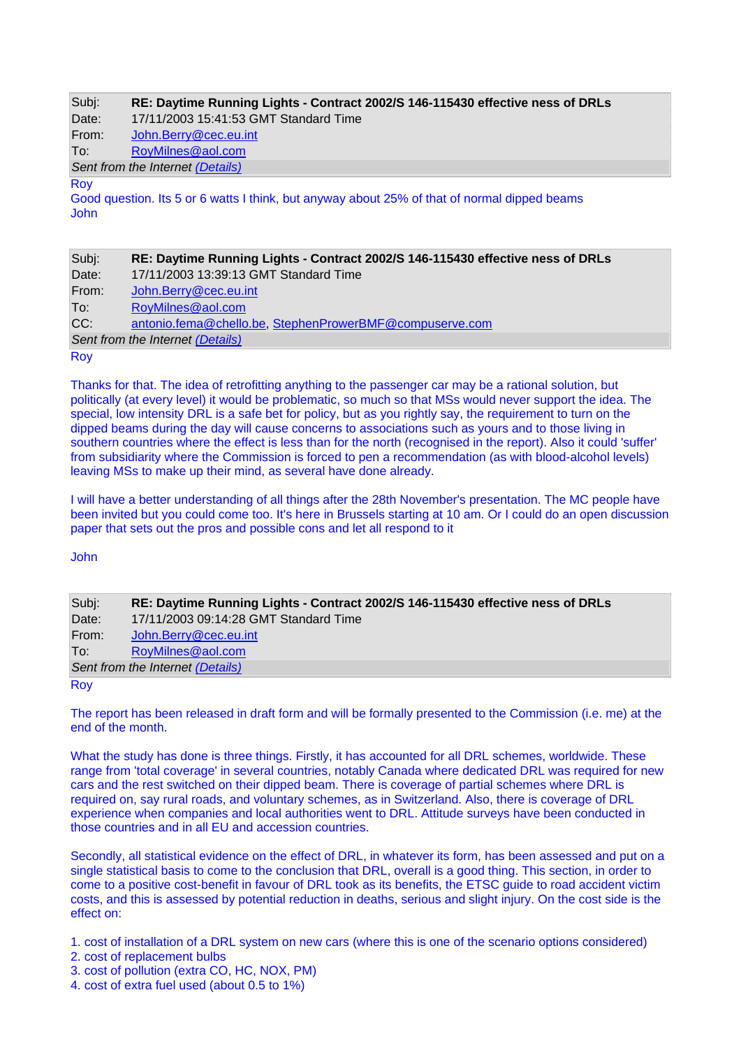| Subj:                            | RE: Daytime Running Lights - Contract 2002/S 146-115430 effective ness of DRLs |  |
|----------------------------------|--------------------------------------------------------------------------------|--|
| Date:                            | 17/11/2003 15:41:53 GMT Standard Time                                          |  |
| From:                            | John.Berry@cec.eu.int                                                          |  |
| To:                              | RoyMilnes@aol.com                                                              |  |
| Sent from the Internet (Details) |                                                                                |  |

#### Roy

Good question. Its 5 or 6 watts I think, but anyway about 25% of that of normal dipped beams John

| Subj:                            | RE: Daytime Running Lights - Contract 2002/S 146-115430 effective ness of DRLs |  |
|----------------------------------|--------------------------------------------------------------------------------|--|
| Date:                            | 17/11/2003 13:39:13 GMT Standard Time                                          |  |
| From:                            | John.Berry@cec.eu.int                                                          |  |
| ∣To:                             | RoyMilnes@aol.com                                                              |  |
| CC:                              | antonio.fema@chello.be, StephenProwerBMF@compuserve.com                        |  |
| Sent from the Internet (Details) |                                                                                |  |
| Roy                              |                                                                                |  |

Thanks for that. The idea of retrofitting anything to the passenger car may be a rational solution, but politically (at every level) it would be problematic, so much so that MSs would never support the idea. The special, low intensity DRL is a safe bet for policy, but as you rightly say, the requirement to turn on the dipped beams during the day will cause concerns to associations such as yours and to those living in southern countries where the effect is less than for the north (recognised in the report). Also it could 'suffer' from subsidiarity where the Commission is forced to pen a recommendation (as with blood-alcohol levels) leaving MSs to make up their mind, as several have done already.

I will have a better understanding of all things after the 28th November's presentation. The MC people have been invited but you could come too. It's here in Brussels starting at 10 am. Or I could do an open discussion paper that sets out the pros and possible cons and let all respond to it

John

| Subj:                            | RE: Daytime Running Lights - Contract 2002/S 146-115430 effective ness of DRLs |  |
|----------------------------------|--------------------------------------------------------------------------------|--|
| Date:                            | 17/11/2003 09:14:28 GMT Standard Time                                          |  |
| From:                            | John.Berry@cec.eu.int                                                          |  |
| To:                              | RoyMilnes@aol.com                                                              |  |
| Sent from the Internet (Details) |                                                                                |  |
| <b>Roy</b>                       |                                                                                |  |

The report has been released in draft form and will be formally presented to the Commission (i.e. me) at the end of the month.

What the study has done is three things. Firstly, it has accounted for all DRL schemes, worldwide. These range from 'total coverage' in several countries, notably Canada where dedicated DRL was required for new cars and the rest switched on their dipped beam. There is coverage of partial schemes where DRL is required on, say rural roads, and voluntary schemes, as in Switzerland. Also, there is coverage of DRL experience when companies and local authorities went to DRL. Attitude surveys have been conducted in those countries and in all EU and accession countries.

Secondly, all statistical evidence on the effect of DRL, in whatever its form, has been assessed and put on a single statistical basis to come to the conclusion that DRL, overall is a good thing. This section, in order to come to a positive cost-benefit in favour of DRL took as its benefits, the ETSC guide to road accident victim costs, and this is assessed by potential reduction in deaths, serious and slight injury. On the cost side is the effect on:

1. cost of installation of a DRL system on new cars (where this is one of the scenario options considered)

- 2. cost of replacement bulbs
- 3. cost of pollution (extra CO, HC, NOX, PM)
- 4. cost of extra fuel used (about 0.5 to 1%)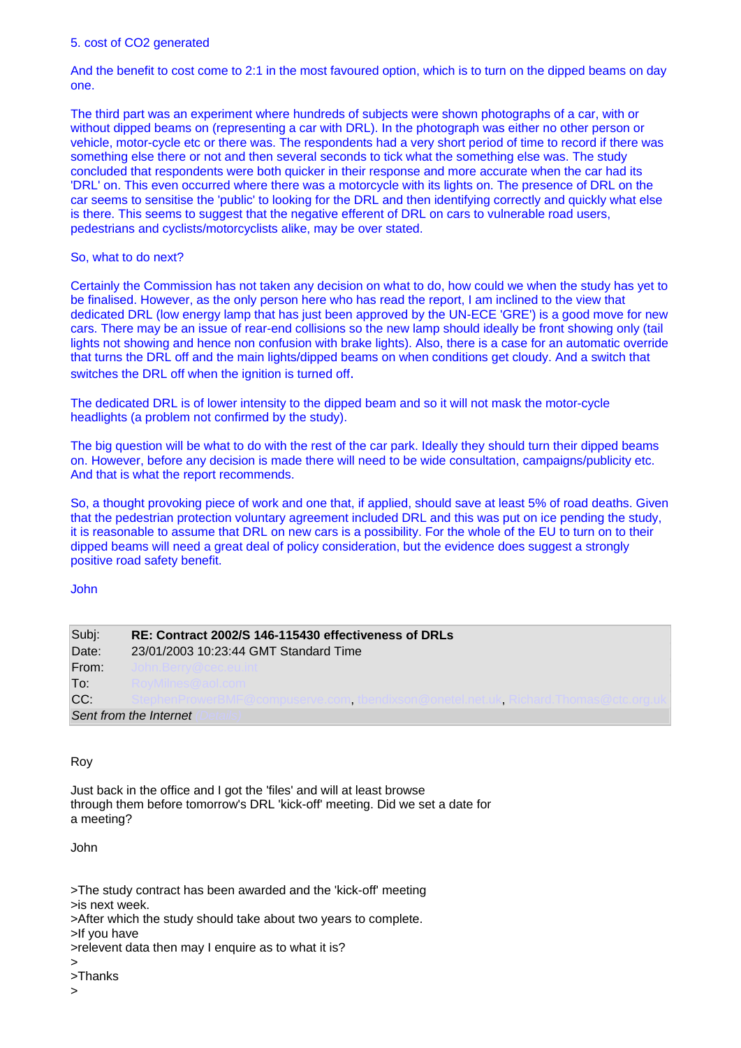And the benefit to cost come to 2:1 in the most favoured option, which is to turn on the dipped beams on day one.

The third part was an experiment where hundreds of subjects were shown photographs of a car, with or without dipped beams on (representing a car with DRL). In the photograph was either no other person or vehicle, motor-cycle etc or there was. The respondents had a very short period of time to record if there was something else there or not and then several seconds to tick what the something else was. The study concluded that respondents were both quicker in their response and more accurate when the car had its 'DRL' on. This even occurred where there was a motorcycle with its lights on. The presence of DRL on the car seems to sensitise the 'public' to looking for the DRL and then identifying correctly and quickly what else is there. This seems to suggest that the negative efferent of DRL on cars to vulnerable road users, pedestrians and cyclists/motorcyclists alike, may be over stated.

## So, what to do next?

Certainly the Commission has not taken any decision on what to do, how could we when the study has yet to be finalised. However, as the only person here who has read the report, I am inclined to the view that dedicated DRL (low energy lamp that has just been approved by the UN-ECE 'GRE') is a good move for new cars. There may be an issue of rear-end collisions so the new lamp should ideally be front showing only (tail lights not showing and hence non confusion with brake lights). Also, there is a case for an automatic override that turns the DRL off and the main lights/dipped beams on when conditions get cloudy. And a switch that switches the DRL off when the ignition is turned off.

The dedicated DRL is of lower intensity to the dipped beam and so it will not mask the motor-cycle headlights (a problem not confirmed by the study).

The big question will be what to do with the rest of the car park. Ideally they should turn their dipped beams on. However, before any decision is made there will need to be wide consultation, campaigns/publicity etc. And that is what the report recommends.

So, a thought provoking piece of work and one that, if applied, should save at least 5% of road deaths. Given that the pedestrian protection voluntary agreement included DRL and this was put on ice pending the study, it is reasonable to assume that DRL on new cars is a possibility. For the whole of the EU to turn on to their dipped beams will need a great deal of policy consideration, but the evidence does suggest a strongly positive road safety benefit.

#### John

| Subj:                  | RE: Contract 2002/S 146-115430 effectiveness of DRLs                               |  |
|------------------------|------------------------------------------------------------------------------------|--|
| Date:                  | 23/01/2003 10:23:44 GMT Standard Time                                              |  |
| From:                  |                                                                                    |  |
| To:                    | viitties want o                                                                    |  |
| CC:                    | repnenir rowerBivir @compuserve.com_tbendixson@onetel.net.uk_Richard. Thomas@ctc.c |  |
| Sent from the Internet |                                                                                    |  |

# Roy

Just back in the office and I got the 'files' and will at least browse through them before tomorrow's DRL 'kick-off' meeting. Did we set a date for a meeting?

John

>The study contract has been awarded and the 'kick-off' meeting >is next week.

>After which the study should take about two years to complete.

>If you have

 $\rightarrow$ >Thanks

 $\overline{\phantom{a}}$ 

<sup>&</sup>gt;relevent data then may I enquire as to what it is?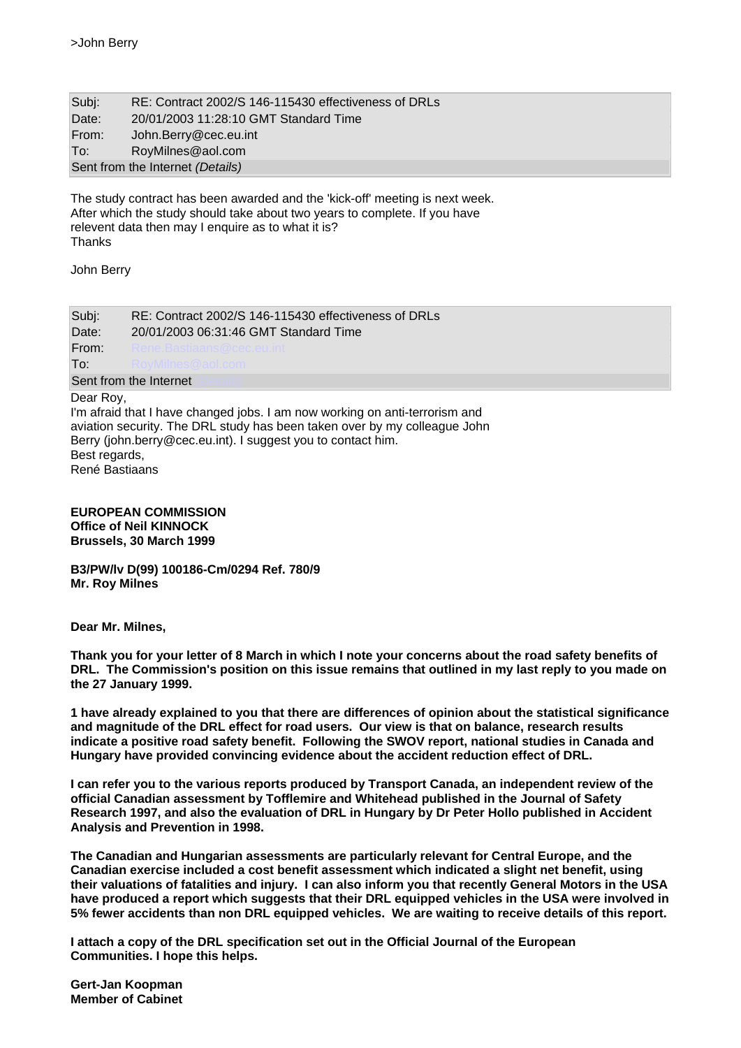| Subj:                            | RE: Contract 2002/S 146-115430 effectiveness of DRLs |  |  |
|----------------------------------|------------------------------------------------------|--|--|
| Date:                            | 20/01/2003 11:28:10 GMT Standard Time                |  |  |
| From:                            | John.Berry@cec.eu.int                                |  |  |
| To:                              | RoyMilnes@aol.com                                    |  |  |
| Sent from the Internet (Details) |                                                      |  |  |

The study contract has been awarded and the 'kick-off' meeting is next week. After which the study should take about two years to complete. If you have relevent data then may I enquire as to what it is? **Thanks** 

John Berry

| Subj:                                        | RE: Contract 2002/S 146-115430 effectiveness of DRLs                                                                                                                                                                     |  |  |  |
|----------------------------------------------|--------------------------------------------------------------------------------------------------------------------------------------------------------------------------------------------------------------------------|--|--|--|
| Date:                                        | 20/01/2003 06:31:46 GMT Standard Time                                                                                                                                                                                    |  |  |  |
| From:                                        |                                                                                                                                                                                                                          |  |  |  |
| To:                                          |                                                                                                                                                                                                                          |  |  |  |
| Sent from the Internet                       |                                                                                                                                                                                                                          |  |  |  |
| Dear Roy,<br>Best regards,<br>René Bastiaans | I'm afraid that I have changed jobs. I am now working on anti-terrorism and<br>aviation security. The DRL study has been taken over by my colleague John<br>Berry (john.berry@cec.eu.int). I suggest you to contact him. |  |  |  |

## **EUROPEAN COMMISSION Office of Neil KINNOCK Brussels, 30 March 1999**

**B3/PW/lv D(99) 100186-Cm/0294 Ref. 780/9 Mr. Roy Milnes** 

**Dear Mr. Milnes,** 

**Thank you for your letter of 8 March in which I note your concerns about the road safety benefits of DRL. The Commission's position on this issue remains that outlined in my last reply to you made on the 27 January 1999.** 

**1 have already explained to you that there are differences of opinion about the statistical significance and magnitude of the DRL effect for road users. Our view is that on balance, research results indicate a positive road safety benefit. Following the SWOV report, national studies in Canada and Hungary have provided convincing evidence about the accident reduction effect of DRL.** 

**I can refer you to the various reports produced by Transport Canada, an independent review of the official Canadian assessment by Tofflemire and Whitehead published in the Journal of Safety Research 1997, and also the evaluation of DRL in Hungary by Dr Peter Hollo published in Accident Analysis and Prevention in 1998.** 

**The Canadian and Hungarian assessments are particularly relevant for Central Europe, and the Canadian exercise included a cost benefit assessment which indicated a slight net benefit, using their valuations of fatalities and injury. I can also inform you that recently General Motors in the USA have produced a report which suggests that their DRL equipped vehicles in the USA were involved in 5% fewer accidents than non DRL equipped vehicles. We are waiting to receive details of this report.** 

**I attach a copy of the DRL specification set out in the Official Journal of the European Communities. I hope this helps.** 

**Gert-Jan Koopman Member of Cabinet**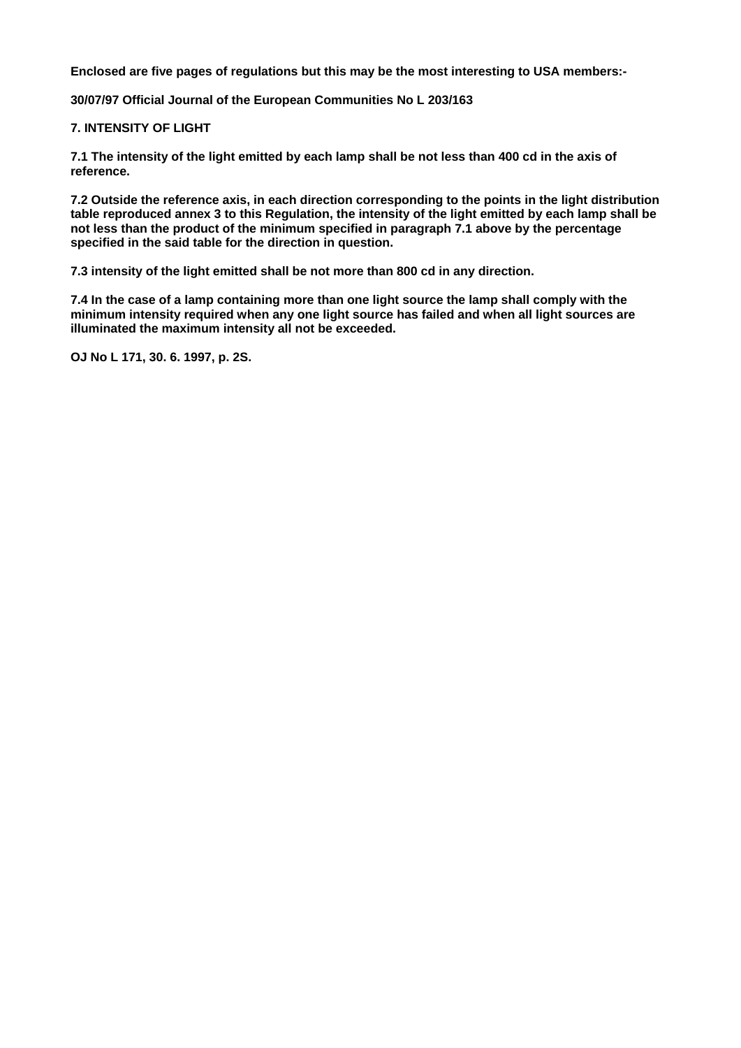**Enclosed are five pages of regulations but this may be the most interesting to USA members:-** 

**30/07/97 Official Journal of the European Communities No L 203/163** 

## **7. INTENSITY OF LIGHT**

**7.1 The intensity of the light emitted by each lamp shall be not less than 400 cd in the axis of reference.** 

**7.2 Outside the reference axis, in each direction corresponding to the points in the light distribution table reproduced annex 3 to this Regulation, the intensity of the light emitted by each lamp shall be not less than the product of the minimum specified in paragraph 7.1 above by the percentage specified in the said table for the direction in question.** 

**7.3 intensity of the light emitted shall be not more than 800 cd in any direction.** 

**7.4 In the case of a lamp containing more than one light source the lamp shall comply with the minimum intensity required when any one light source has failed and when all light sources are illuminated the maximum intensity all not be exceeded.** 

**OJ No L 171, 30. 6. 1997, p. 2S.**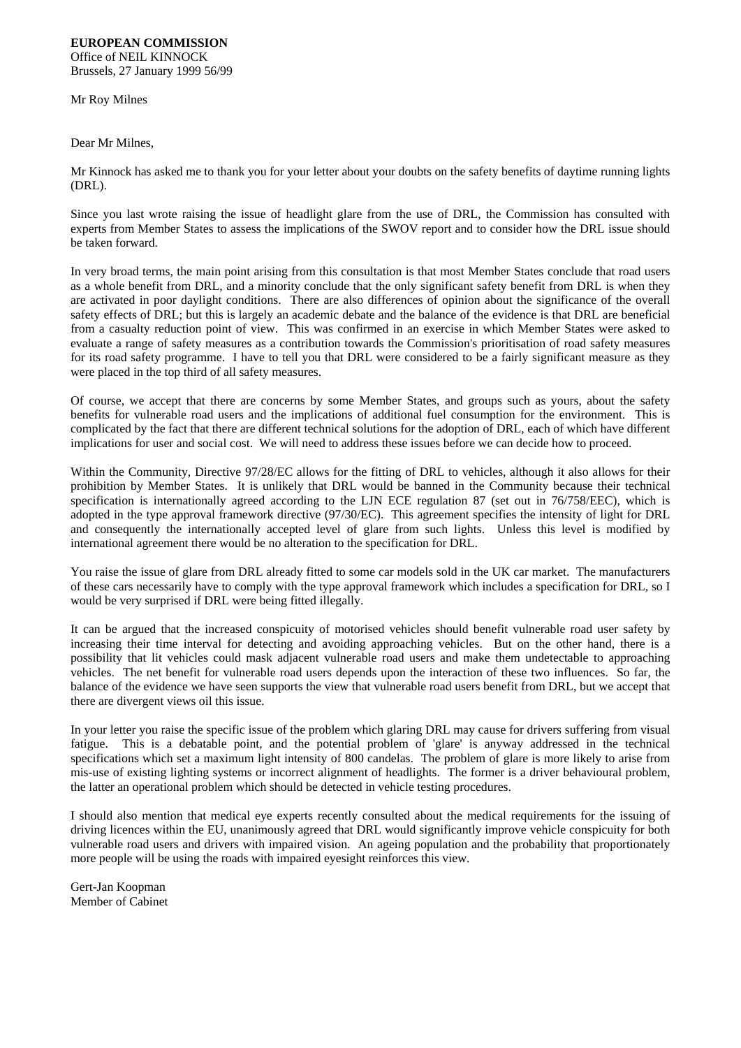#### **EUROPEAN COMMISSION** Office of NEIL KINNOCK Brussels, 27 January 1999 56/99

Mr Roy Milnes

Dear Mr Milnes,

Mr Kinnock has asked me to thank you for your letter about your doubts on the safety benefits of daytime running lights (DRL).

Since you last wrote raising the issue of headlight glare from the use of DRL, the Commission has consulted with experts from Member States to assess the implications of the SWOV report and to consider how the DRL issue should be taken forward.

In very broad terms, the main point arising from this consultation is that most Member States conclude that road users as a whole benefit from DRL, and a minority conclude that the only significant safety benefit from DRL is when they are activated in poor daylight conditions. There are also differences of opinion about the significance of the overall safety effects of DRL; but this is largely an academic debate and the balance of the evidence is that DRL are beneficial from a casualty reduction point of view. This was confirmed in an exercise in which Member States were asked to evaluate a range of safety measures as a contribution towards the Commission's prioritisation of road safety measures for its road safety programme. I have to tell you that DRL were considered to be a fairly significant measure as they were placed in the top third of all safety measures.

Of course, we accept that there are concerns by some Member States, and groups such as yours, about the safety benefits for vulnerable road users and the implications of additional fuel consumption for the environment. This is complicated by the fact that there are different technical solutions for the adoption of DRL, each of which have different implications for user and social cost. We will need to address these issues before we can decide how to proceed.

Within the Community, Directive 97/28/EC allows for the fitting of DRL to vehicles, although it also allows for their prohibition by Member States. It is unlikely that DRL would be banned in the Community because their technical specification is internationally agreed according to the LJN ECE regulation 87 (set out in 76/758/EEC), which is adopted in the type approval framework directive (97/30/EC). This agreement specifies the intensity of light for DRL and consequently the internationally accepted level of glare from such lights. Unless this level is modified by international agreement there would be no alteration to the specification for DRL.

You raise the issue of glare from DRL already fitted to some car models sold in the UK car market. The manufacturers of these cars necessarily have to comply with the type approval framework which includes a specification for DRL, so I would be very surprised if DRL were being fitted illegally.

It can be argued that the increased conspicuity of motorised vehicles should benefit vulnerable road user safety by increasing their time interval for detecting and avoiding approaching vehicles. But on the other hand, there is a possibility that lit vehicles could mask adjacent vulnerable road users and make them undetectable to approaching vehicles. The net benefit for vulnerable road users depends upon the interaction of these two influences. So far, the balance of the evidence we have seen supports the view that vulnerable road users benefit from DRL, but we accept that there are divergent views oil this issue.

In your letter you raise the specific issue of the problem which glaring DRL may cause for drivers suffering from visual fatigue. This is a debatable point, and the potential problem of 'glare' is anyway addressed in the technical specifications which set a maximum light intensity of 800 candelas. The problem of glare is more likely to arise from mis-use of existing lighting systems or incorrect alignment of headlights. The former is a driver behavioural problem, the latter an operational problem which should be detected in vehicle testing procedures.

I should also mention that medical eye experts recently consulted about the medical requirements for the issuing of driving licences within the EU, unanimously agreed that DRL would significantly improve vehicle conspicuity for both vulnerable road users and drivers with impaired vision. An ageing population and the probability that proportionately more people will be using the roads with impaired eyesight reinforces this view.

Gert-Jan Koopman Member of Cabinet